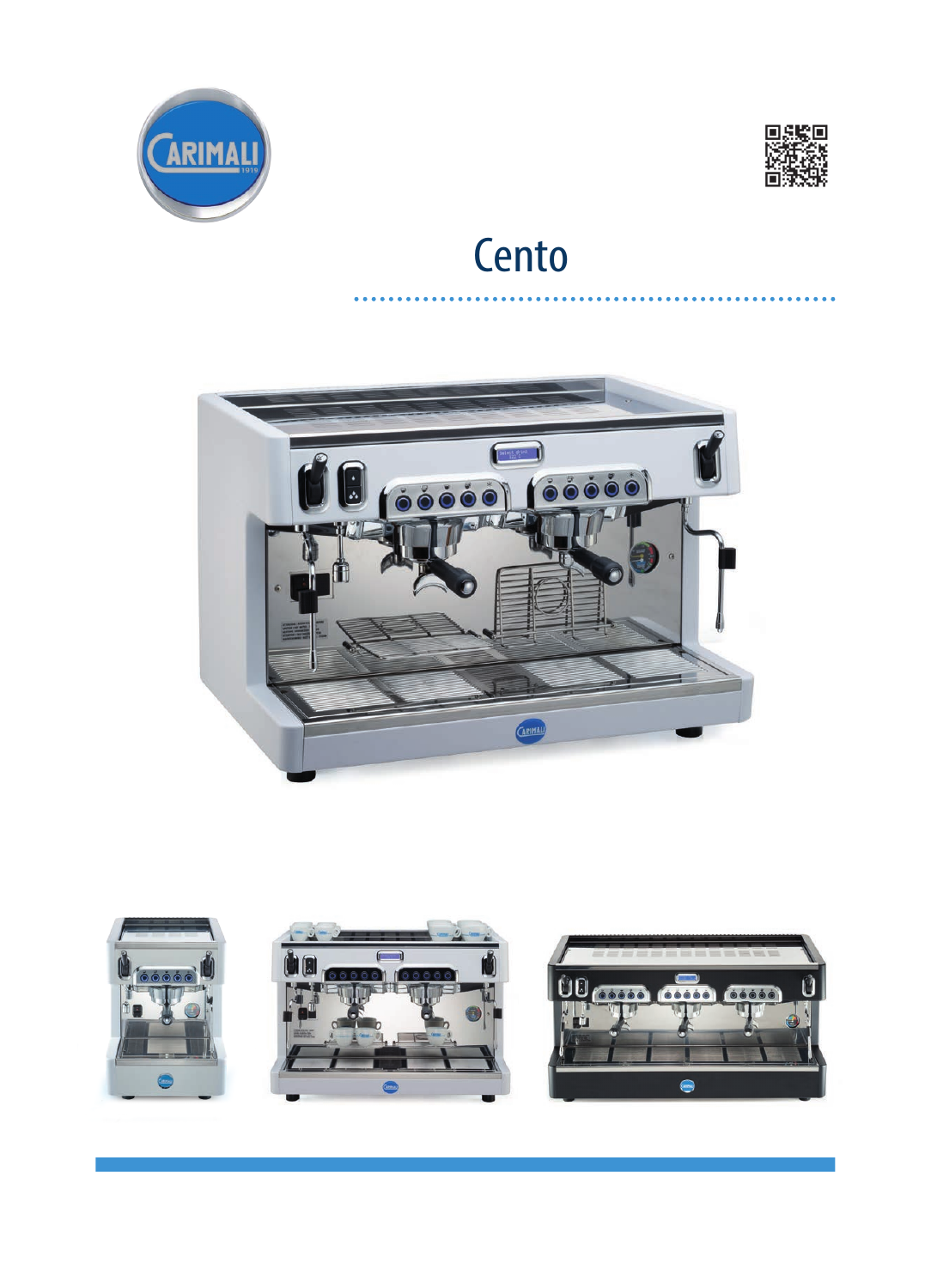



# Cento